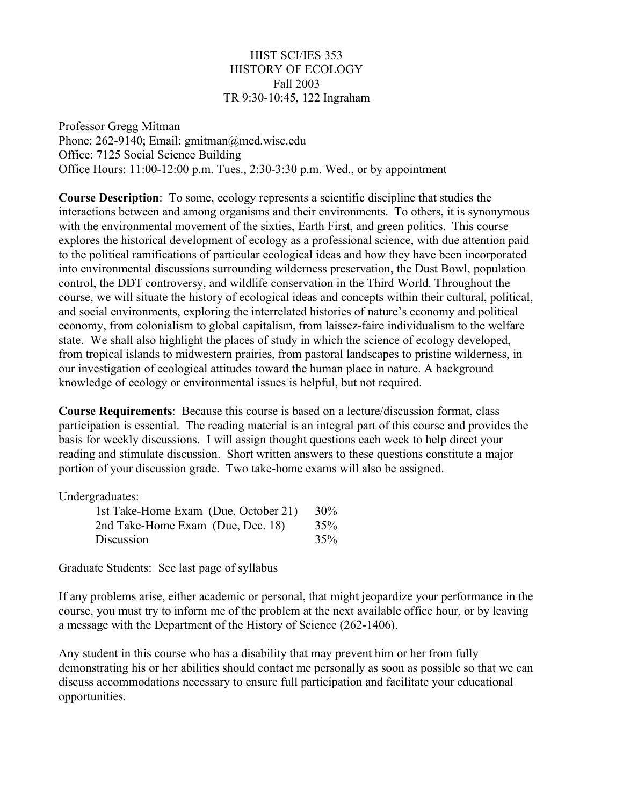# HIST SCI/IES 353 HISTORY OF ECOLOGY Fall 2003 TR 9:30-10:45, 122 Ingraham

Professor Gregg Mitman Phone: 262-9140; Email: gmitman@med.wisc.edu Office: 7125 Social Science Building Office Hours: 11:00-12:00 p.m. Tues., 2:30-3:30 p.m. Wed., or by appointment

**Course Description**: To some, ecology represents a scientific discipline that studies the interactions between and among organisms and their environments. To others, it is synonymous with the environmental movement of the sixties, Earth First, and green politics. This course explores the historical development of ecology as a professional science, with due attention paid to the political ramifications of particular ecological ideas and how they have been incorporated into environmental discussions surrounding wilderness preservation, the Dust Bowl, population control, the DDT controversy, and wildlife conservation in the Third World. Throughout the course, we will situate the history of ecological ideas and concepts within their cultural, political, and social environments, exploring the interrelated histories of nature's economy and political economy, from colonialism to global capitalism, from laissez-faire individualism to the welfare state. We shall also highlight the places of study in which the science of ecology developed, from tropical islands to midwestern prairies, from pastoral landscapes to pristine wilderness, in our investigation of ecological attitudes toward the human place in nature. A background knowledge of ecology or environmental issues is helpful, but not required.

**Course Requirements**: Because this course is based on a lecture/discussion format, class participation is essential. The reading material is an integral part of this course and provides the basis for weekly discussions. I will assign thought questions each week to help direct your reading and stimulate discussion. Short written answers to these questions constitute a major portion of your discussion grade. Two take-home exams will also be assigned.

Undergraduates:

| 1st Take-Home Exam (Due, October 21) | 30% |
|--------------------------------------|-----|
| 2nd Take-Home Exam (Due, Dec. 18)    | 35% |
| Discussion                           | 35% |

Graduate Students: See last page of syllabus

If any problems arise, either academic or personal, that might jeopardize your performance in the course, you must try to inform me of the problem at the next available office hour, or by leaving a message with the Department of the History of Science (262-1406).

Any student in this course who has a disability that may prevent him or her from fully demonstrating his or her abilities should contact me personally as soon as possible so that we can discuss accommodations necessary to ensure full participation and facilitate your educational opportunities.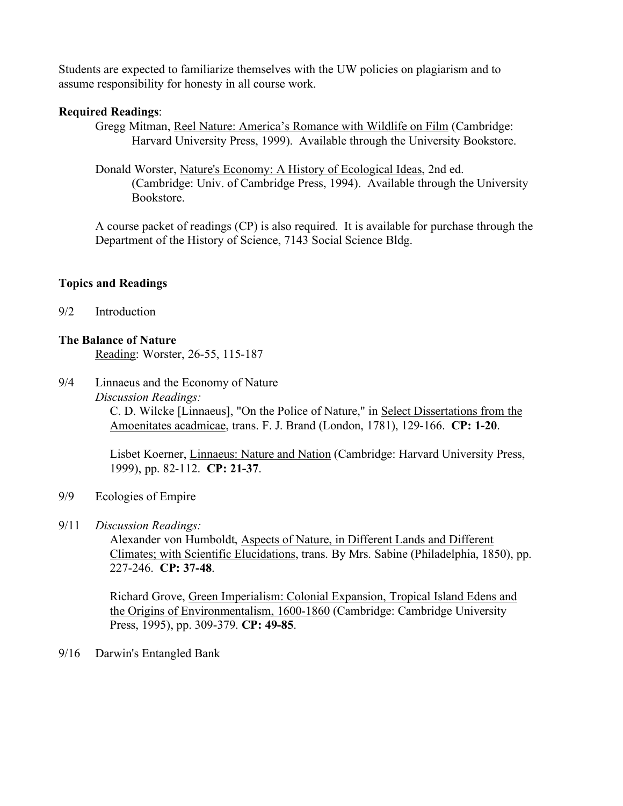Students are expected to familiarize themselves with the UW policies on plagiarism and to assume responsibility for honesty in all course work.

# **Required Readings**:

Gregg Mitman, Reel Nature: America's Romance with Wildlife on Film (Cambridge: Harvard University Press, 1999). Available through the University Bookstore.

Donald Worster, Nature's Economy: A History of Ecological Ideas, 2nd ed. (Cambridge: Univ. of Cambridge Press, 1994). Available through the University Bookstore.

A course packet of readings (CP) is also required. It is available for purchase through the Department of the History of Science, 7143 Social Science Bldg.

# **Topics and Readings**

9/2 Introduction

## **The Balance of Nature**

Reading: Worster, 26-55, 115-187

9/4 Linnaeus and the Economy of Nature *Discussion Readings:* C. D. Wilcke [Linnaeus], "On the Police of Nature," in Select Dissertations from the Amoenitates acadmicae, trans. F. J. Brand (London, 1781), 129-166. **CP: 1-20**.

> Lisbet Koerner, Linnaeus: Nature and Nation (Cambridge: Harvard University Press, 1999), pp. 82-112. **CP: 21-37**.

- 9/9 Ecologies of Empire
- 9/11 *Discussion Readings:*

Alexander von Humboldt, Aspects of Nature, in Different Lands and Different Climates; with Scientific Elucidations, trans. By Mrs. Sabine (Philadelphia, 1850), pp. 227-246. **CP: 37-48**.

Richard Grove, Green Imperialism: Colonial Expansion, Tropical Island Edens and the Origins of Environmentalism, 1600-1860 (Cambridge: Cambridge University Press, 1995), pp. 309-379. **CP: 49-85**.

9/16 Darwin's Entangled Bank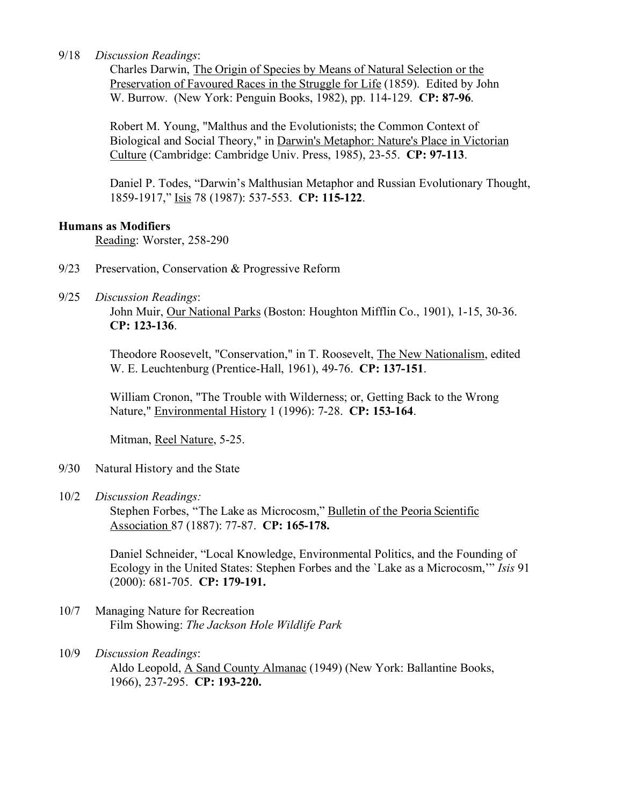### 9/18 *Discussion Readings*:

Charles Darwin, The Origin of Species by Means of Natural Selection or the Preservation of Favoured Races in the Struggle for Life (1859). Edited by John W. Burrow. (New York: Penguin Books, 1982), pp. 114-129. **CP: 87-96**.

Robert M. Young, "Malthus and the Evolutionists; the Common Context of Biological and Social Theory," in Darwin's Metaphor: Nature's Place in Victorian Culture (Cambridge: Cambridge Univ. Press, 1985), 23-55. **CP: 97-113**.

Daniel P. Todes, "Darwin's Malthusian Metaphor and Russian Evolutionary Thought, 1859-1917," Isis 78 (1987): 537-553. **CP: 115-122**.

#### **Humans as Modifiers**

Reading: Worster, 258-290

- 9/23 Preservation, Conservation & Progressive Reform
- 9/25 *Discussion Readings*:

John Muir, Our National Parks (Boston: Houghton Mifflin Co., 1901), 1-15, 30-36. **CP: 123-136**.

Theodore Roosevelt, "Conservation," in T. Roosevelt, The New Nationalism, edited W. E. Leuchtenburg (Prentice-Hall, 1961), 49-76. **CP: 137-151**.

William Cronon, "The Trouble with Wilderness; or, Getting Back to the Wrong Nature," Environmental History 1 (1996): 7-28. **CP: 153-164**.

Mitman, Reel Nature, 5-25.

- 9/30 Natural History and the State
- 10/2 *Discussion Readings:*

Stephen Forbes, "The Lake as Microcosm," Bulletin of the Peoria Scientific Association 87 (1887): 77-87. **CP: 165-178.**

Daniel Schneider, "Local Knowledge, Environmental Politics, and the Founding of Ecology in the United States: Stephen Forbes and the `Lake as a Microcosm,'" *Isis* 91 (2000): 681-705. **CP: 179-191.**

- 10/7 Managing Nature for Recreation Film Showing: *The Jackson Hole Wildlife Park*
- 10/9 *Discussion Readings*: Aldo Leopold, A Sand County Almanac (1949) (New York: Ballantine Books, 1966), 237-295. **CP: 193-220.**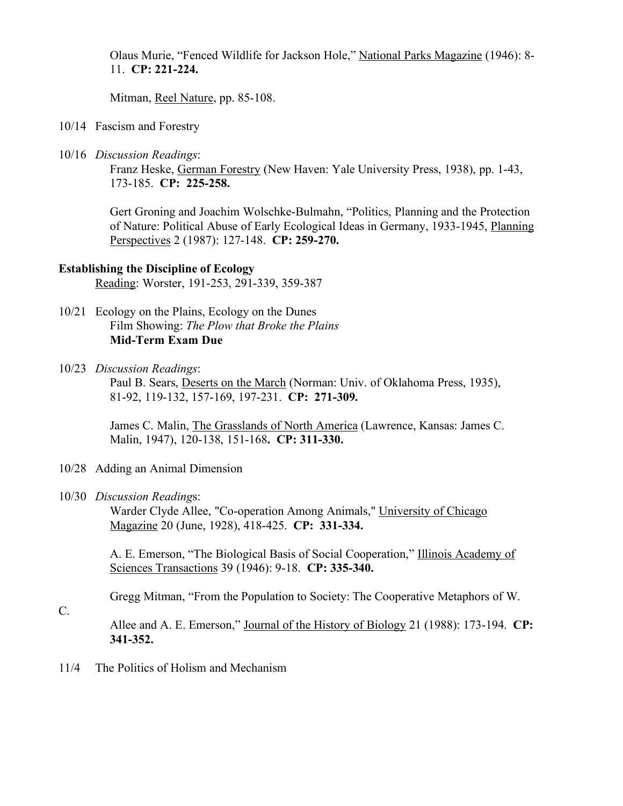Olaus Murie, "Fenced Wildlife for Jackson Hole," National Parks Magazine (1946): 8- 11. **CP: 221-224.**

Mitman, Reel Nature, pp. 85-108.

- 10/14 Fascism and Forestry
- 10/16 *Discussion Readings*:

Franz Heske, German Forestry (New Haven: Yale University Press, 1938), pp. 1-43, 173-185. **CP: 225-258.**

Gert Groning and Joachim Wolschke-Bulmahn, "Politics, Planning and the Protection of Nature: Political Abuse of Early Ecological Ideas in Germany, 1933-1945, Planning Perspectives 2 (1987): 127-148. **CP: 259-270.**

## **Establishing the Discipline of Ecology**

Reading: Worster, 191-253, 291-339, 359-387

- 10/21 Ecology on the Plains, Ecology on the Dunes Film Showing: *The Plow that Broke the Plains* **Mid-Term Exam Due**
- 10/23 *Discussion Readings*:

Paul B. Sears, Deserts on the March (Norman: Univ. of Oklahoma Press, 1935), 81-92, 119-132, 157-169, 197-231. **CP: 271-309.**

James C. Malin, The Grasslands of North America (Lawrence, Kansas: James C. Malin, 1947), 120-138, 151-168**. CP: 311-330.**

- 10/28 Adding an Animal Dimension
- 10/30 *Discussion Reading*s:

Warder Clyde Allee, "Co-operation Among Animals," University of Chicago Magazine 20 (June, 1928), 418-425. **CP: 331-334.**

A. E. Emerson, "The Biological Basis of Social Cooperation," Illinois Academy of Sciences Transactions 39 (1946): 9-18. **CP: 335-340.**

Gregg Mitman, "From the Population to Society: The Cooperative Metaphors of W.

C.

Allee and A. E. Emerson," Journal of the History of Biology 21 (1988): 173-194. **CP: 341-352.**

11/4 The Politics of Holism and Mechanism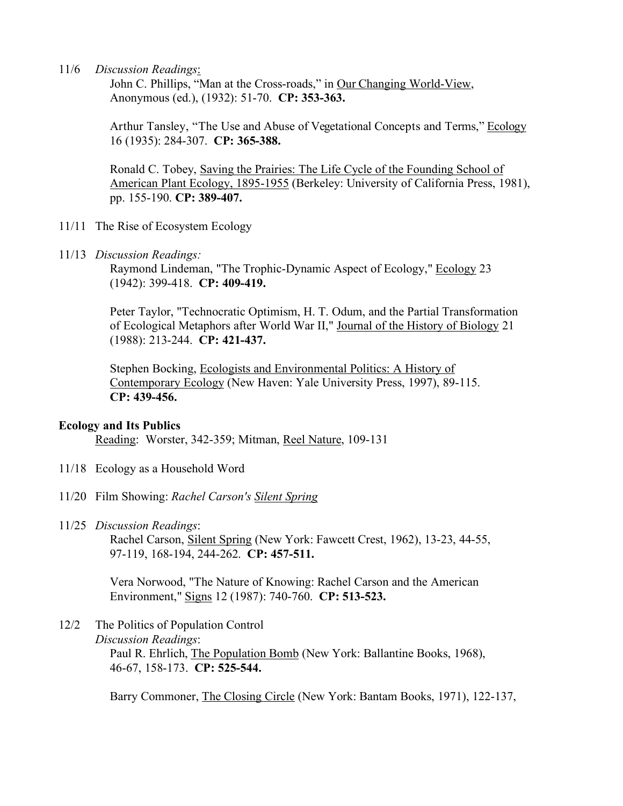11/6 *Discussion Readings*:

John C. Phillips, "Man at the Cross-roads," in Our Changing World-View, Anonymous (ed.), (1932): 51-70. **CP: 353-363.**

Arthur Tansley, "The Use and Abuse of Vegetational Concepts and Terms," Ecology 16 (1935): 284-307. **CP: 365-388.**

Ronald C. Tobey, Saving the Prairies: The Life Cycle of the Founding School of American Plant Ecology, 1895-1955 (Berkeley: University of California Press, 1981), pp. 155-190. **CP: 389-407.**

- 11/11 The Rise of Ecosystem Ecology
- 11/13 *Discussion Readings:*

Raymond Lindeman, "The Trophic-Dynamic Aspect of Ecology," Ecology 23 (1942): 399-418. **CP: 409-419.**

Peter Taylor, "Technocratic Optimism, H. T. Odum, and the Partial Transformation of Ecological Metaphors after World War II," Journal of the History of Biology 21 (1988): 213-244. **CP: 421-437.**

Stephen Bocking, Ecologists and Environmental Politics: A History of Contemporary Ecology (New Haven: Yale University Press, 1997), 89-115. **CP: 439-456.**

#### **Ecology and Its Publics**

Reading: Worster, 342-359; Mitman, Reel Nature, 109-131

- 11/18 Ecology as a Household Word
- 11/20 Film Showing: *Rachel Carson's Silent Spring*
- 11/25 *Discussion Readings*:

Rachel Carson, Silent Spring (New York: Fawcett Crest, 1962), 13-23, 44-55, 97-119, 168-194, 244-262. **CP: 457-511.**

Vera Norwood, "The Nature of Knowing: Rachel Carson and the American Environment," Signs 12 (1987): 740-760. **CP: 513-523.**

### 12/2 The Politics of Population Control *Discussion Readings*: Paul R. Ehrlich, The Population Bomb (New York: Ballantine Books, 1968), 46-67, 158-173. **CP: 525-544.**

Barry Commoner, The Closing Circle (New York: Bantam Books, 1971), 122-137,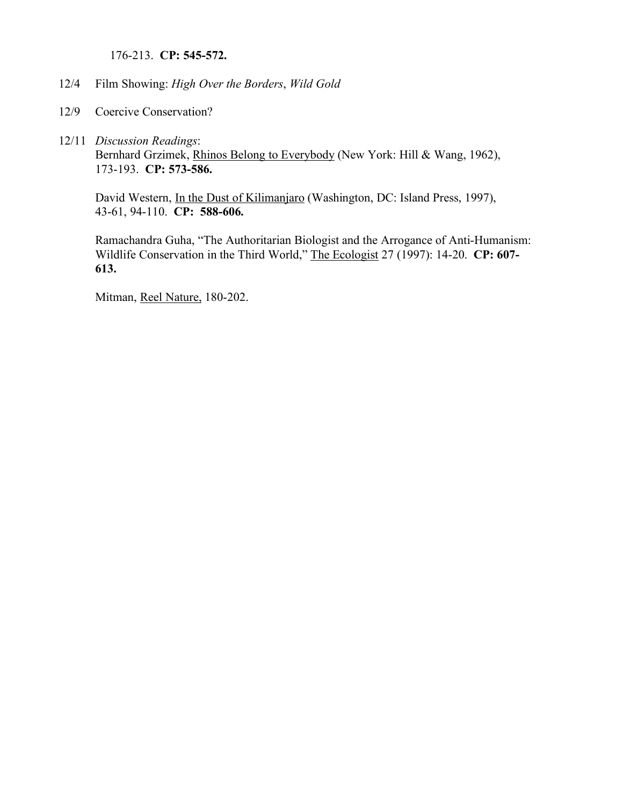176-213. **CP: 545-572.**

- 12/4 Film Showing: *High Over the Borders*, *Wild Gold*
- 12/9 Coercive Conservation?
- 12/11 *Discussion Readings*: Bernhard Grzimek, Rhinos Belong to Everybody (New York: Hill & Wang, 1962), 173-193. **CP: 573-586.**

David Western, In the Dust of Kilimanjaro (Washington, DC: Island Press, 1997), 43-61, 94-110. **CP: 588-606.**

Ramachandra Guha, "The Authoritarian Biologist and the Arrogance of Anti-Humanism: Wildlife Conservation in the Third World," The Ecologist 27 (1997): 14-20. **CP: 607- 613.**

Mitman, Reel Nature, 180-202.